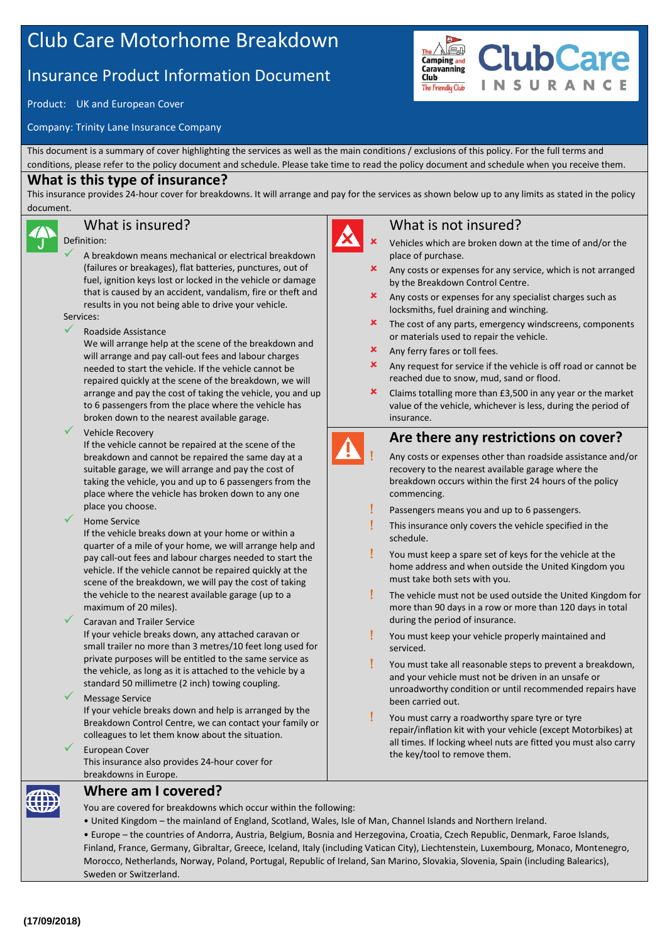# Club Care Motorhome Breakdown

## Insurance Product Information Document

Product: UK and European Cover

Company: Trinity Lane Insurance Company

This document is a summary of cover highlighting the services as well as the main conditions / exclusions of this policy. For the full terms and conditions, please refer to the policy document and schedule. Please take time to read the policy document and schedule when you receive them.

#### **What is this type of insurance?**

This insurance provides 24-hour cover for breakdowns. It will arrange and pay for the services as shown below up to any limits as stated in the policy document.

## What is insured?

#### Definition:

- A breakdown means mechanical or electrical breakdown (failures or breakages), flat batteries, punctures, out of fuel, ignition keys lost or locked in the vehicle or damage that is caused by an accident, vandalism, fire or theft and results in you not being able to drive your vehicle. Services:
- Roadside Assistance

We will arrange help at the scene of the breakdown and will arrange and pay call-out fees and labour charges needed to start the vehicle. If the vehicle cannot be repaired quickly at the scene of the breakdown, we will arrange and pay the cost of taking the vehicle, you and up to 6 passengers from the place where the vehicle has broken down to the nearest available garage.

Vehicle Recovery

If the vehicle cannot be repaired at the scene of the breakdown and cannot be repaired the same day at a suitable garage, we will arrange and pay the cost of taking the vehicle, you and up to 6 passengers from the place where the vehicle has broken down to any one place you choose.

Home Service

If the vehicle breaks down at your home or within a quarter of a mile of your home, we will arrange help and pay call-out fees and labour charges needed to start the vehicle. If the vehicle cannot be repaired quickly at the scene of the breakdown, we will pay the cost of taking the vehicle to the nearest available garage (up to a maximum of 20 miles).

Caravan and Trailer Service

If your vehicle breaks down, any attached caravan or small trailer no more than 3 metres/10 feet long used for private purposes will be entitled to the same service as the vehicle, as long as it is attached to the vehicle by a standard 50 millimetre (2 inch) towing coupling.

#### Message Service

If your vehicle breaks down and help is arranged by the Breakdown Control Centre, we can contact your family or colleagues to let them know about the situation.

 European Cover This insurance also provides 24-hour cover for breakdowns in Europe.

#### What is not insured?

- Vehicles which are broken down at the time of and/or the place of purchase.
- Any costs or expenses for any service, which is not arranged by the Breakdown Control Centre.
- Any costs or expenses for any specialist charges such as locksmiths, fuel draining and winching.
- The cost of any parts, emergency windscreens, components or materials used to repair the vehicle.
- **x** Any ferry fares or toll fees.
- **x** Any request for service if the vehicle is off road or cannot be reached due to snow, mud, sand or flood.
- Claims totalling more than £3,500 in any year or the market value of the vehicle, whichever is less, during the period of insurance.

## **Are there any restrictions on cover?**

- Any costs or expenses other than roadside assistance and/or recovery to the nearest available garage where the breakdown occurs within the first 24 hours of the policy commencing.
- Passengers means you and up to 6 passengers.
- This insurance only covers the vehicle specified in the schedule.
- You must keep a spare set of keys for the vehicle at the home address and when outside the United Kingdom you must take both sets with you.
- The vehicle must not be used outside the United Kingdom for more than 90 days in a row or more than 120 days in total during the period of insurance.
- You must keep your vehicle properly maintained and serviced.
- You must take all reasonable steps to prevent a breakdown, and your vehicle must not be driven in an unsafe or unroadworthy condition or until recommended repairs have been carried out.
- You must carry a roadworthy spare tyre or tyre repair/inflation kit with your vehicle (except Motorbikes) at all times. If locking wheel nuts are fitted you must also carry the key/tool to remove them.

**Where am I covered?**

You are covered for breakdowns which occur within the following:

• United Kingdom – the mainland of England, Scotland, Wales, Isle of Man, Channel Islands and Northern Ireland.

• Europe – the countries of Andorra, Austria, Belgium, Bosnia and Herzegovina, Croatia, Czech Republic, Denmark, Faroe Islands, Finland, France, Germany, Gibraltar, Greece, Iceland, Italy (including Vatican City), Liechtenstein, Luxembourg, Monaco, Montenegro, Morocco, Netherlands, Norway, Poland, Portugal, Republic of Ireland, San Marino, Slovakia, Slovenia, Spain (including Balearics), Sweden or Switzerland.